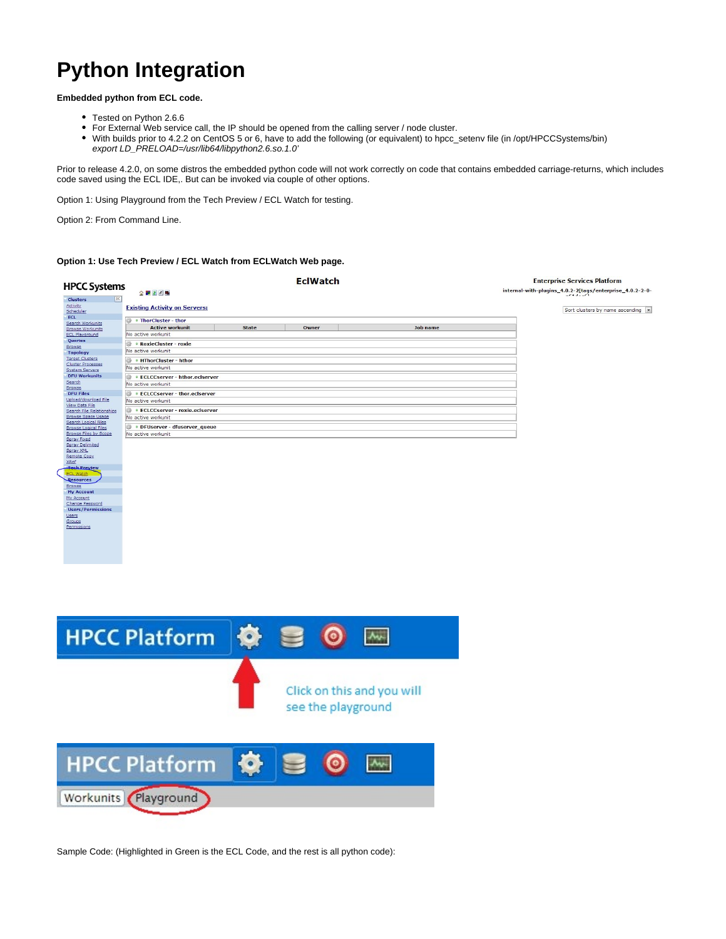# **Python Integration**

**Embedded python from ECL code.**

- Tested on Python 2.6.6
- For External Web service call, the IP should be opened from the calling server / node cluster.
- With builds prior to 4.2.2 on CentOS 5 or 6, have to add the following (or equivalent) to hpcc\_setenv file (in /opt/HPCCSystems/bin) export LD\_PRELOAD=/usr/lib64/libpython2.6.so.1.0'

Prior to release 4.2.0, on some distros the embedded python code will not work correctly on code that contains embedded carriage-returns, which includes code saved using the ECL IDE,. But can be invoked via couple of other options.

Option 1: Using Playground from the Tech Preview / ECL Watch for testing.

Option 2: From Command Line.

## **Option 1: Use Tech Preview / ECL Watch from ECLWatch Web page.**

| <b>HPCC Systems</b>                                    |                                                            |              |       | <b>EclWatch</b>    |                            | <b>Enterprise Services Platform</b>                      |
|--------------------------------------------------------|------------------------------------------------------------|--------------|-------|--------------------|----------------------------|----------------------------------------------------------|
|                                                        | 全 四 2 / 略                                                  |              |       |                    |                            | internal-with-plugins_4.0.2-2[tags/enterprise_4.0.2-2-0- |
| Clusters<br>Activity                                   | <b>Existing Activity on Servers:</b>                       |              |       |                    |                            |                                                          |
| Scheduler<br>ECL                                       |                                                            |              |       |                    |                            | Sort clusters by name ascending v                        |
| Search Workunits                                       | <b>OF ThorCluster - thor</b>                               |              |       |                    |                            |                                                          |
| <b>Browse Workunits</b><br><b>ECL Playground</b>       | <b>Active workunit</b><br>No active workunit               | <b>State</b> | Owner |                    | <b>Job name</b>            |                                                          |
| Queries                                                | <b>D</b> • RoxieCluster - roxie                            |              |       |                    |                            |                                                          |
| Browse<br><b>Topology</b>                              | No active workunit                                         |              |       |                    |                            |                                                          |
| <b>Target Clusters</b>                                 | • HThorCluster - hthor                                     |              |       |                    |                            |                                                          |
| Cluster Processes<br>System Servers                    | No active workunit                                         |              |       |                    |                            |                                                          |
| <b>DFU Workunits</b>                                   | <b>DECLCCserver - hthor.eciserver</b>                      |              |       |                    |                            |                                                          |
| Search<br>Browse                                       | No active workunit                                         |              |       |                    |                            |                                                          |
| <b>DFU Files</b><br>Upload/download File               | <b>ECLCCserver - thor.eclserver</b>                        |              |       |                    |                            |                                                          |
| View Data File                                         | No active workunit                                         |              |       |                    |                            |                                                          |
| Search File Relationships<br><b>Browse Space Usage</b> | <b>ECLCCserver - roxie.eclserver</b><br>No active workunit |              |       |                    |                            |                                                          |
| Search Logical Files                                   | <b>DFUserver - dfuserver_queue</b>                         |              |       |                    |                            |                                                          |
| <b>Browse Logical Files</b><br>Browse Files by Scope   | No active workunit                                         |              |       |                    |                            |                                                          |
| Spray Fixed<br><b>Spray Delimited</b>                  |                                                            |              |       |                    |                            |                                                          |
| Spray XML                                              |                                                            |              |       |                    |                            |                                                          |
| <b>Remote Copy</b><br>XRef                             |                                                            |              |       |                    |                            |                                                          |
| <b>Tech Preview</b><br><b>ECL Watc</b>                 |                                                            |              |       |                    |                            |                                                          |
| Resources                                              |                                                            |              |       |                    |                            |                                                          |
| <b>Browse</b><br><b>My Account</b>                     |                                                            |              |       |                    |                            |                                                          |
| My Account                                             |                                                            |              |       |                    |                            |                                                          |
| Change Password<br><b>Users/Permissions</b>            |                                                            |              |       |                    |                            |                                                          |
| Users                                                  |                                                            |              |       |                    |                            |                                                          |
| Groups<br>Permissions                                  |                                                            |              |       |                    |                            |                                                          |
|                                                        |                                                            |              |       |                    |                            |                                                          |
|                                                        |                                                            |              |       |                    |                            |                                                          |
|                                                        |                                                            |              |       |                    |                            |                                                          |
|                                                        |                                                            |              |       |                    |                            |                                                          |
|                                                        |                                                            |              |       |                    |                            |                                                          |
|                                                        |                                                            |              |       |                    |                            |                                                          |
|                                                        |                                                            |              |       |                    |                            |                                                          |
|                                                        |                                                            |              |       |                    |                            |                                                          |
|                                                        |                                                            |              |       |                    |                            |                                                          |
|                                                        |                                                            |              |       |                    |                            |                                                          |
|                                                        |                                                            |              |       |                    |                            |                                                          |
|                                                        | <b>HPCC Platform</b>                                       | <b>O</b>     |       |                    | $A_{V}$                    |                                                          |
|                                                        |                                                            |              |       |                    |                            |                                                          |
|                                                        |                                                            |              |       |                    |                            |                                                          |
|                                                        |                                                            |              |       |                    |                            |                                                          |
|                                                        |                                                            |              |       |                    |                            |                                                          |
|                                                        |                                                            |              |       |                    |                            |                                                          |
|                                                        |                                                            |              |       |                    | Click on this and you will |                                                          |
|                                                        |                                                            |              |       |                    |                            |                                                          |
|                                                        |                                                            |              |       | see the playground |                            |                                                          |
|                                                        |                                                            |              |       |                    |                            |                                                          |
|                                                        |                                                            |              |       |                    |                            |                                                          |
|                                                        |                                                            |              |       |                    |                            |                                                          |
|                                                        |                                                            |              |       |                    |                            |                                                          |
|                                                        |                                                            |              |       |                    |                            |                                                          |
|                                                        | <b>HPCC Platform</b>                                       | <b>O</b>     |       |                    |                            |                                                          |
|                                                        |                                                            |              |       |                    |                            |                                                          |
|                                                        |                                                            |              |       |                    |                            |                                                          |
|                                                        | Workunits Playground                                       |              |       |                    |                            |                                                          |
|                                                        |                                                            |              |       |                    |                            |                                                          |
|                                                        |                                                            |              |       |                    |                            |                                                          |
|                                                        |                                                            |              |       |                    |                            |                                                          |

Sample Code: (Highlighted in Green is the ECL Code, and the rest is all python code):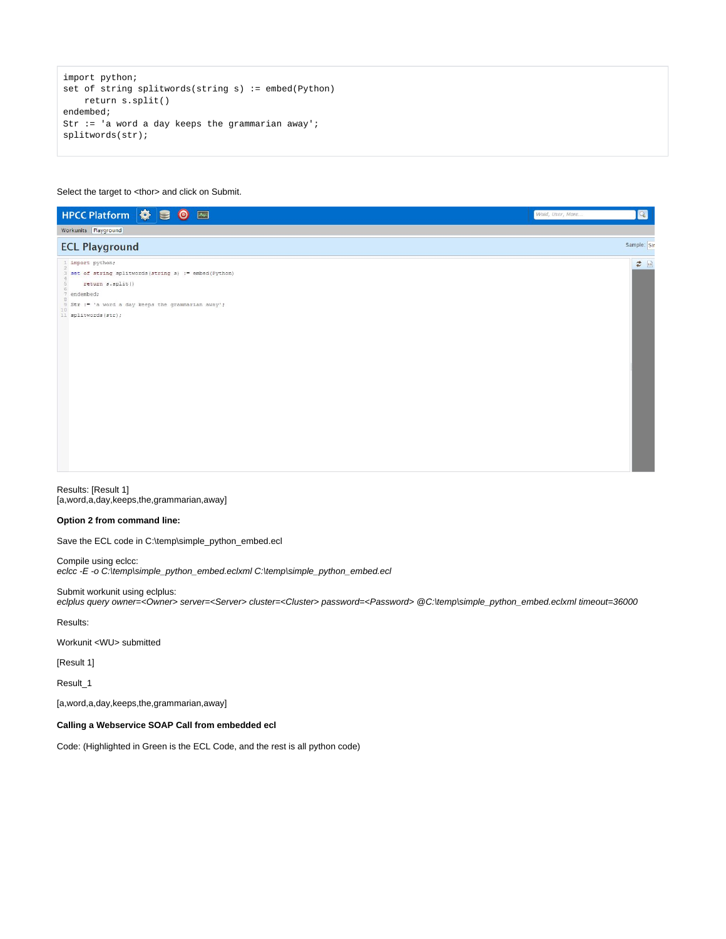```
import python;
set of string splitwords(string s) := embed(Python)
    return s.split()
endembed;
Str := 'a word a day keeps the grammarian away';
splitwords(str);
```
#### Select the target to <thor> and click on Submit.

| HPCC Platform $\bullet$ 3 0 M                                                                                                                                                                                | $\boxed{Q}$<br>Wuid, User, More |
|--------------------------------------------------------------------------------------------------------------------------------------------------------------------------------------------------------------|---------------------------------|
| Workunits Playground                                                                                                                                                                                         |                                 |
| <b>ECL Playground</b>                                                                                                                                                                                        | Sample: Sin                     |
| 1 import python;<br>3 set of string splitwords (string s) := embed (Python)<br>return s.split()<br>5<br>6<br>7 endembed;<br>9 Str := 'a word a day keeps the grammarian away';<br>10<br>11 splitwords (str); | $\Rightarrow$                   |

Results: [Result 1] [a,word,a,day,keeps,the,grammarian,away]

## **Option 2 from command line:**

Save the ECL code in C:\temp\simple\_python\_embed.ecl

Compile using eclcc: eclcc -E -o C:\temp\simple\_python\_embed.eclxml C:\temp\simple\_python\_embed.ecl

Submit workunit using eclplus: eclplus query owner=<Owner> server=<Server> cluster=<Cluster> password=<Password> @C:\temp\simple\_python\_embed.eclxml timeout=36000

Results:

#### Workunit <WU> submitted

[Result 1]

Result\_1

[a,word,a,day,keeps,the,grammarian,away]

## **Calling a Webservice SOAP Call from embedded ecl**

Code: (Highlighted in Green is the ECL Code, and the rest is all python code)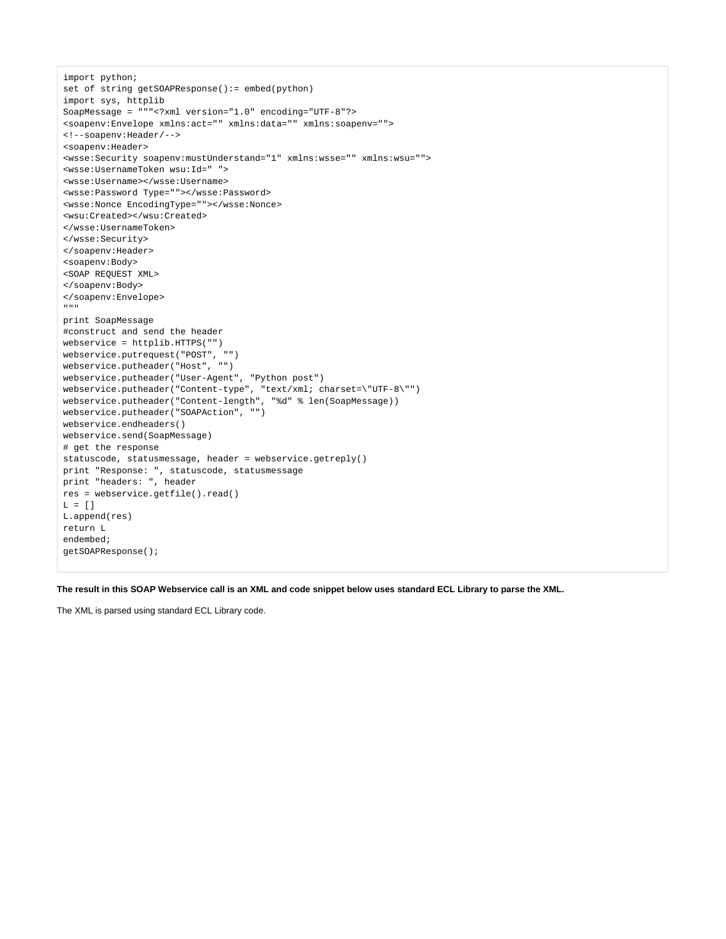```
import python;
set of string getSOAPResponse():= embed(python)
import sys, httplib
SoapMessage = """<?xml version="1.0" encoding="UTF-8"?>
<soapenv:Envelope xmlns:act="" xmlns:data="" xmlns:soapenv="">
<!--soapenv:Header/-->
<soapenv:Header>
<wsse:Security soapenv:mustUnderstand="1" xmlns:wsse="" xmlns:wsu="">
<wsse:UsernameToken wsu:Id=" ">
<wsse:Username></wsse:Username>
<wsse:Password Type=""></wsse:Password>
<wsse:Nonce EncodingType=""></wsse:Nonce>
<wsu:Created></wsu:Created>
</wsse:UsernameToken>
</wsse:Security>
</soapenv:Header>
<soapenv:Body>
<SOAP REQUEST XML>
</soapenv:Body>
</soapenv:Envelope>
"""
print SoapMessage
#construct and send the header
webservice = httplib.HTTPS("")
webservice.putrequest("POST", "")
webservice.putheader("Host", "")
webservice.putheader("User-Agent", "Python post")
webservice.putheader("Content-type", "text/xml; charset=\"UTF-8\"")
webservice.putheader("Content-length", "%d" % len(SoapMessage))
webservice.putheader("SOAPAction", "")
webservice.endheaders()
webservice.send(SoapMessage)
# get the response
statuscode, statusmessage, header = webservice.getreply()
print "Response: ", statuscode, statusmessage
print "headers: ", header
res = webservice.getfile().read()
L = [1]L.append(res)
return L
endembed;
getSOAPResponse();
```
**The result in this SOAP Webservice call is an XML and code snippet below uses standard ECL Library to parse the XML.**

The XML is parsed using standard ECL Library code.